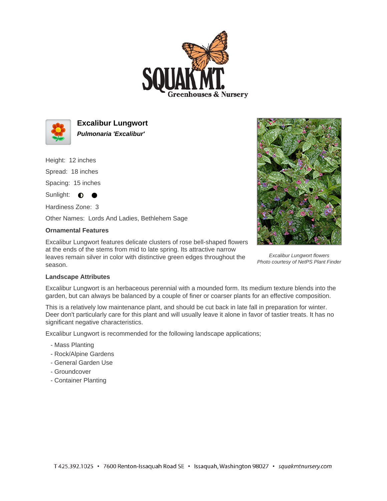



**Excalibur Lungwort Pulmonaria 'Excalibur'**

Height: 12 inches

Spread: 18 inches

Spacing: 15 inches

 $\bullet$ 

Sunlight:  $\bullet$ 

Hardiness Zone: 3

Other Names: Lords And Ladies, Bethlehem Sage

## **Ornamental Features**

Excalibur Lungwort features delicate clusters of rose bell-shaped flowers at the ends of the stems from mid to late spring. Its attractive narrow leaves remain silver in color with distinctive green edges throughout the season.



Excalibur Lungwort flowers Photo courtesy of NetPS Plant Finder

## **Landscape Attributes**

Excalibur Lungwort is an herbaceous perennial with a mounded form. Its medium texture blends into the garden, but can always be balanced by a couple of finer or coarser plants for an effective composition.

This is a relatively low maintenance plant, and should be cut back in late fall in preparation for winter. Deer don't particularly care for this plant and will usually leave it alone in favor of tastier treats. It has no significant negative characteristics.

Excalibur Lungwort is recommended for the following landscape applications;

- Mass Planting
- Rock/Alpine Gardens
- General Garden Use
- Groundcover
- Container Planting